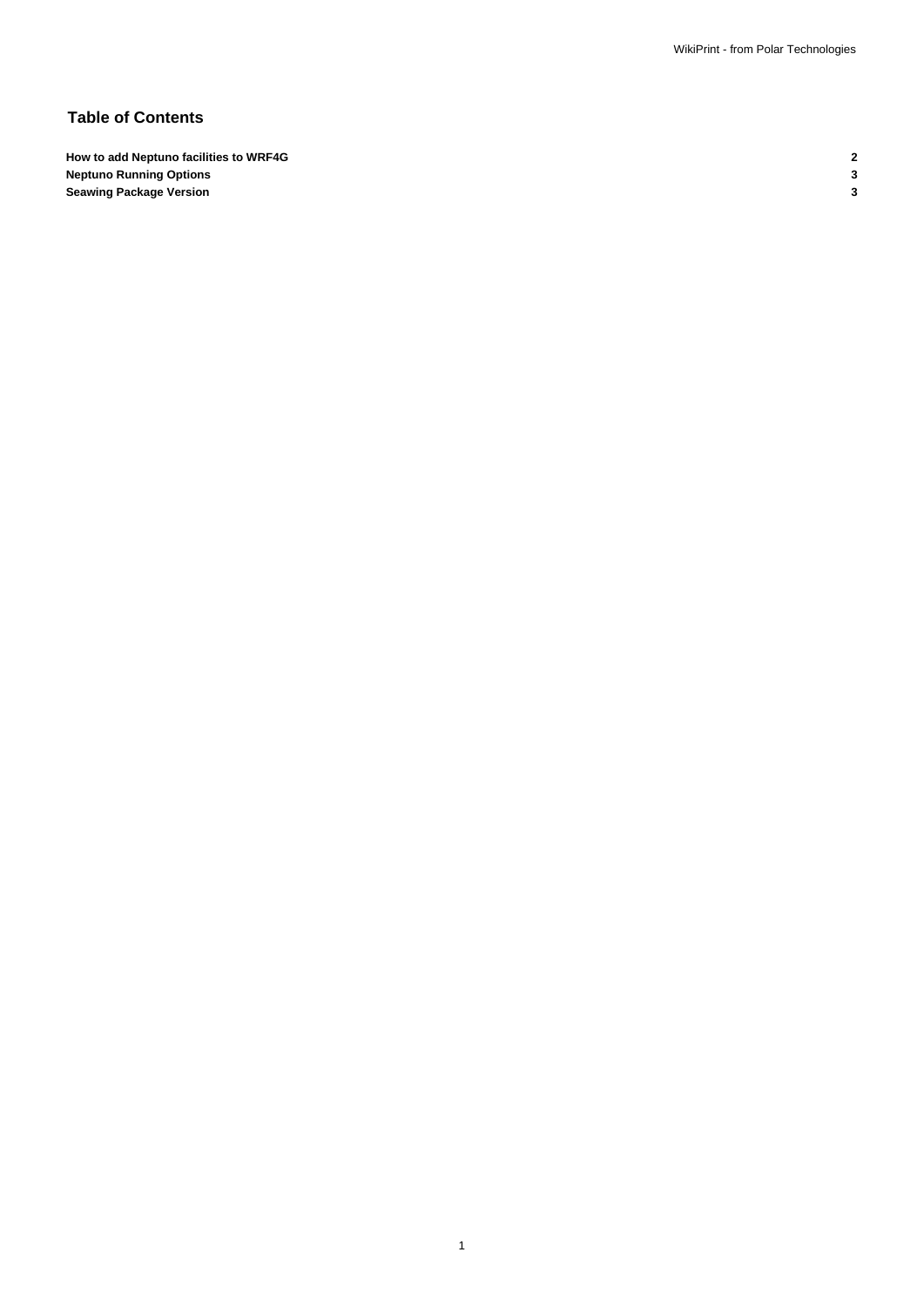# **Table of Contents**

**How to add Neptuno facilities to WRF4G 2 Neptuno Running Options 3 Seawing Package Version 3**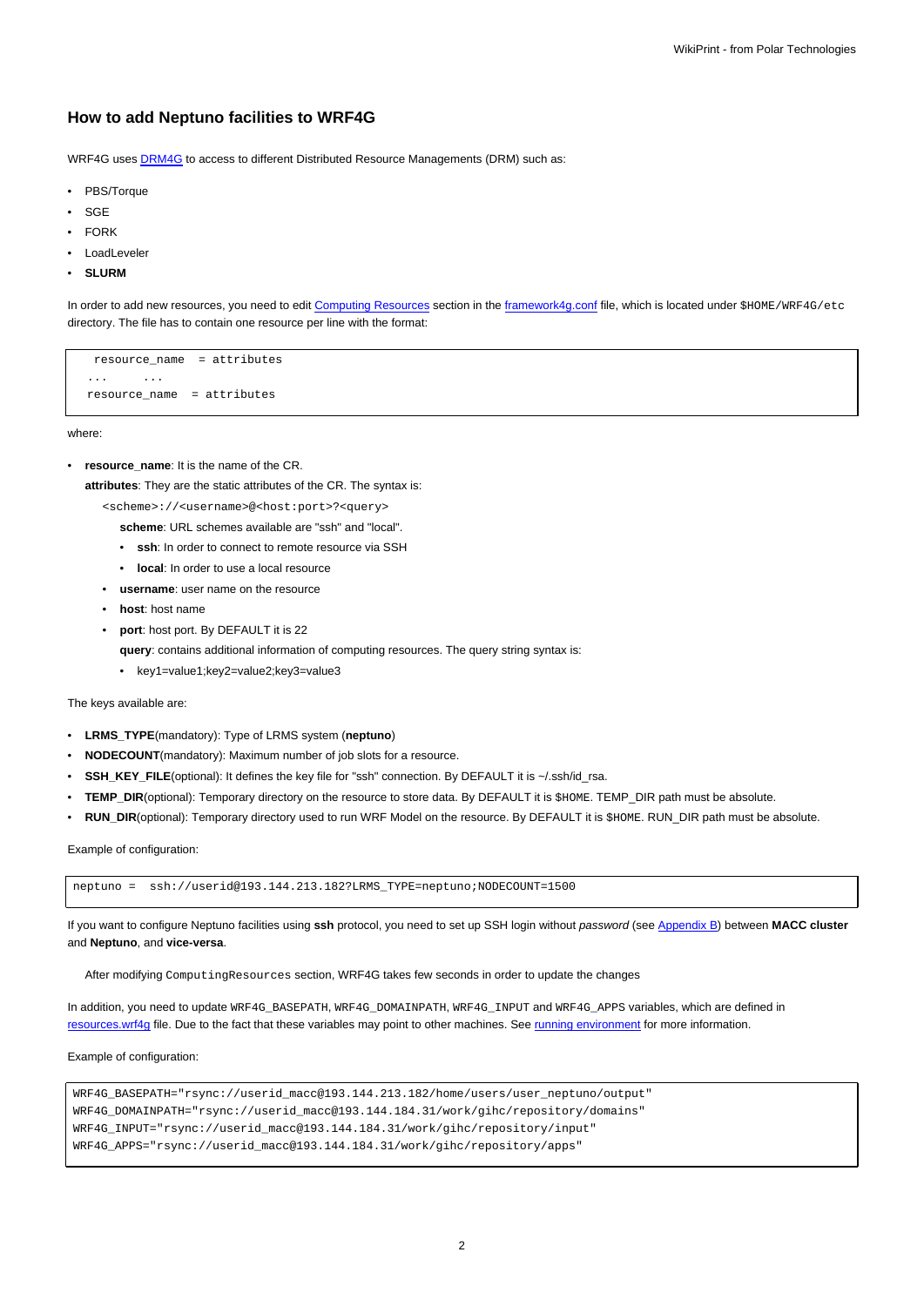### **How to add Neptuno facilities to WRF4G**

WRF4G uses **DRM4G** to access to different Distributed Resource Managements (DRM) such as:

- PBS/Torque
- **SGE**
- **FORK**
- LoadLeveler
- **SLURM**

In order to add new resources, you need to edit [Computing Resources](https://meteo.unican.es/trac/wiki/WRF4Gframework4g_conf#ComputingResources) section in the framework4q.conf file, which is located under \$HOME/WRF4G/etc directory. The file has to contain one resource per line with the format:

resource\_name = attributes ... ... resource\_name = attributes

where:

• **resource\_name**: It is the name of the CR.

**attributes**: They are the static attributes of the CR. The syntax is:

<scheme>://<username>@<host:port>?<query>

- **scheme**: URL schemes available are "ssh" and "local".
- **ssh**: In order to connect to remote resource via SSH
- **local**: In order to use a local resource
- **username**: user name on the resource
- **host**: host name
- **port**: host port. By DEFAULT it is 22
	- **query**: contains additional information of computing resources. The query string syntax is:
	- key1=value1;key2=value2;key3=value3

The keys available are:

- **LRMS\_TYPE**(mandatory): Type of LRMS system (**neptuno**)
- **NODECOUNT**(mandatory): Maximum number of job slots for a resource.
- **SSH\_KEY\_FILE**(optional): It defines the key file for "ssh" connection. By DEFAULT it is ~/.ssh/id\_rsa.
- **TEMP\_DIR**(optional): Temporary directory on the resource to store data. By DEFAULT it is \$HOME. TEMP\_DIR path must be absolute.
- **RUN\_DIR**(optional): Temporary directory used to run WRF Model on the resource. By DEFAULT it is \$HOME. RUN\_DIR path must be absolute.

Example of configuration:

neptuno = ssh://userid@193.144.213.182?LRMS\_TYPE=neptuno;NODECOUNT=1500

If you want to configure Neptuno facilities using **ssh** protocol, you need to set up SSH login without password (see [Appendix B](https://meteo.unican.es/trac/wiki/DRM4G#AppendixB)) between **MACC cluster** and **Neptuno**, and **vice-versa**.

After modifying ComputingResources section, WRF4G takes few seconds in order to update the changes

In addition, you need to update WRF4G\_BASEPATH, WRF4G\_DOMAINPATH, WRF4G\_INPUT and WRF4G\_APPS variables, which are defined in [resources.wrf4g](https://meteo.unican.es/trac/wiki/WRF4Gresources_wrf4g) file. Due to the fact that these variables may point to other machines. See [running environment](https://meteo.unican.es/trac/wiki/WRF4Gresources_wrf4g#Runningenvironment) for more information.

#### Example of configuration:

WRF4G\_BASEPATH="rsync://userid\_macc@193.144.213.182/home/users/user\_neptuno/output" WRF4G\_DOMAINPATH="rsync://userid\_macc@193.144.184.31/work/gihc/repository/domains" WRF4G\_INPUT="rsync://userid\_macc@193.144.184.31/work/gihc/repository/input" WRF4G\_APPS="rsync://userid\_macc@193.144.184.31/work/gihc/repository/apps"